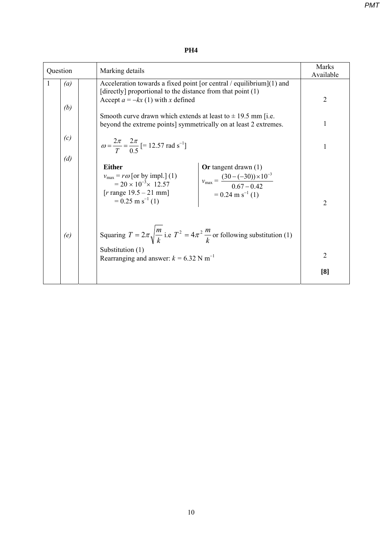*PMT*

| Question                     |  | Marking details                                                                                                                                                                                                                                                                                        | Marks<br>Available |
|------------------------------|--|--------------------------------------------------------------------------------------------------------------------------------------------------------------------------------------------------------------------------------------------------------------------------------------------------------|--------------------|
| 1<br>$\left(a\right)$<br>(b) |  | Acceleration towards a fixed point [or central / equilibrium] $(1)$ and<br>[directly] proportional to the distance from that point (1)<br>Accept $a = -kx(1)$ with x defined                                                                                                                           | $\overline{2}$     |
|                              |  | Smooth curve drawn which extends at least to $\pm$ 19.5 mm [i.e.<br>beyond the extreme points] symmetrically on at least 2 extremes.                                                                                                                                                                   | $\mathbf{1}$       |
| (c)                          |  | $\omega = \frac{2\pi}{T} = \frac{2\pi}{0.5}$ [= 12.57 rad s <sup>-1</sup> ]                                                                                                                                                                                                                            | $\mathbf{1}$       |
| (d)                          |  | <b>Either</b><br>$v_{\text{max}} = r\omega$ [or by impl.] (1)<br>$v_{\text{max}} = \frac{(30 - (-30)) \times 10^{-3}}{0.67 - 0.42}$<br>= 0.01<br>$= 20 \times 10^{-3} \times 12.57$<br>[ $r \text{ range } 19.5 - 21 \text{ mm}$ ]<br>$= 0.24$ m s <sup>-1</sup> (1)<br>$= 0.25$ m s <sup>-1</sup> (1) | $\overline{2}$     |
| (e)                          |  | Squaring $T = 2\pi \sqrt{\frac{m}{k}}$ i.e $T^2 = 4\pi^2 \frac{m}{k}$ or following substitution (1)<br>Substitution (1)                                                                                                                                                                                |                    |
|                              |  | Rearranging and answer: $k = 6.32$ N m <sup>-1</sup>                                                                                                                                                                                                                                                   | $\overline{2}$     |
|                              |  |                                                                                                                                                                                                                                                                                                        | [8]                |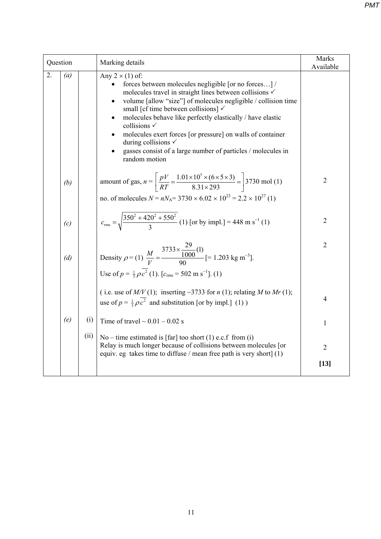| Question<br>Marking details                                                                                                                                                                                                                                                                                                                                                                                                                                                                                                                                         | Marks<br>Available       |
|---------------------------------------------------------------------------------------------------------------------------------------------------------------------------------------------------------------------------------------------------------------------------------------------------------------------------------------------------------------------------------------------------------------------------------------------------------------------------------------------------------------------------------------------------------------------|--------------------------|
| 2.<br>(a)<br>Any $2 \times (1)$ of:<br>forces between molecules negligible [or no forces]/<br>$\bullet$<br>molecules travel in straight lines between collisions √<br>volume [allow "size"] of molecules negligible / collision time<br>$\bullet$<br>small [cf time between collisions] √<br>molecules behave like perfectly elastically / have elastic<br>collisions $\checkmark$<br>molecules exert forces [or pressure] on walls of container<br>during collisions $\checkmark$<br>gasses consist of a large number of particles / molecules in<br>random motion |                          |
| amount of gas, $n = \left  \frac{pV}{RT} = \frac{1.01 \times 10^5 \times (6 \times 5 \times 3)}{8.31 \times 293} \right  = \left  3730 \text{ mol } (1) \right $<br>(b)<br>no. of molecules $N = nN_A = 3730 \times 6.02 \times 10^{23} = 2.2 \times 10^{27}$ (1)                                                                                                                                                                                                                                                                                                   | $\overline{2}$           |
| $c_{\text{rms}} = \sqrt{\frac{350^2 + 420^2 + 550^2}{3}}$ (1) [or by impl.] = 448 m s <sup>-1</sup> (1)<br>(c)                                                                                                                                                                                                                                                                                                                                                                                                                                                      | $\overline{2}$           |
| Density $\rho = (1) \frac{M}{V} = \frac{3733 \times \frac{29}{1000}}{90}$ [= 1.203 kg m <sup>-3</sup> ].<br>(d)<br>Use of $p = \frac{1}{3}\rho c^2$ (1). $[c_{\text{rms}} = 502 \text{ m s}^{-1}]$ . (1)                                                                                                                                                                                                                                                                                                                                                            | $\overline{2}$           |
| (i.e. use of $M/V(1)$ ; inserting ~3733 for <i>n</i> (1); relating <i>M</i> to <i>Mr</i> (1);<br>use of $p = \frac{1}{3}\rho \overline{c^2}$ and substitution [or by impl.] (1))                                                                                                                                                                                                                                                                                                                                                                                    | $\overline{4}$           |
| (e)<br>(i)<br>Time of travel $\sim 0.01 - 0.02$ s                                                                                                                                                                                                                                                                                                                                                                                                                                                                                                                   | $\mathbf{1}$             |
| (ii)<br>No – time estimated is [far] too short (1) e.c.f from (i)<br>Relay is much longer because of collisions between molecules [or<br>equiv. eg takes time to diffuse / mean free path is very short $(1)$                                                                                                                                                                                                                                                                                                                                                       | $\overline{2}$<br>$[13]$ |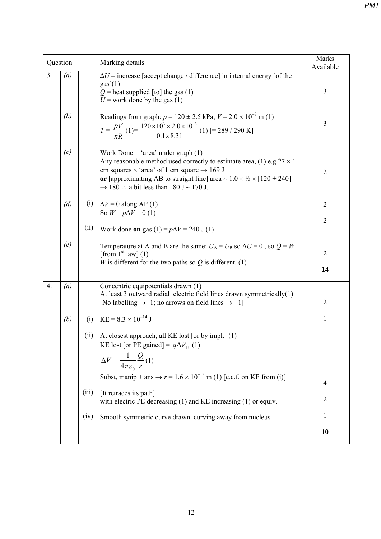| Question |     |       | Marking details                                                                                                                                                                                                                                                                                                                             | Marks<br>Available |
|----------|-----|-------|---------------------------------------------------------------------------------------------------------------------------------------------------------------------------------------------------------------------------------------------------------------------------------------------------------------------------------------------|--------------------|
| 3        | (a) |       | $\Delta U$ = increase [accept change / difference] in internal energy [of the<br>gas(1)<br>$Q$ = heat supplied [to] the gas (1)<br>$U$ = work done by the gas (1)                                                                                                                                                                           | 3                  |
|          | (b) |       | Readings from graph: $p = 120 \pm 2.5$ kPa; $V = 2.0 \times 10^{-3}$ m (1)<br>$T = \frac{pV}{nR}(1) = \frac{120 \times 10^3 \times 2.0 \times 10^{-3}}{0.1 \times 8.31}(1)$ [= 289 / 290 K]                                                                                                                                                 | $\mathfrak{Z}$     |
|          | (c) |       | Work Done = 'area' under graph $(1)$<br>Any reasonable method used correctly to estimate area, (1) e.g $27 \times 1$<br>cm squares $\times$ 'area' of 1 cm square $\rightarrow$ 169 J<br>or [approximating AB to straight line] area $\sim 1.0 \times \frac{1}{2} \times [120 + 240]$<br>$\rightarrow$ 180 : a bit less than 180 J ~ 170 J. | $\overline{2}$     |
|          | (d) | (i)   | $\Delta V$ = 0 along AP (1)<br>So $W = p\Delta V = 0$ (1)                                                                                                                                                                                                                                                                                   | $\overline{2}$     |
|          |     | (ii)  | Work done on gas (1) = $p\Delta V$ = 240 J (1)                                                                                                                                                                                                                                                                                              | $\overline{2}$     |
|          | (e) |       | Temperature at A and B are the same: $U_A = U_B$ so $\Delta U = 0$ , so $Q = W$<br>[from $1st$ law] (1)                                                                                                                                                                                                                                     | $\overline{2}$     |
|          |     |       | W is different for the two paths so $Q$ is different. (1)                                                                                                                                                                                                                                                                                   | 14                 |
| 4.       | (a) |       | Concentric equipotentials drawn (1)<br>At least 3 outward radial electric field lines drawn symmetrically $(1)$<br>[No labelling $\rightarrow -1$ ; no arrows on field lines $\rightarrow -1$ ]                                                                                                                                             | $\overline{2}$     |
|          | (b) | (i)   | $KE = 8.3 \times 10^{-14}$ J                                                                                                                                                                                                                                                                                                                | 1                  |
|          |     | (ii)  | At closest approach, all KE lost [or by impl.] (1)<br>KE lost [or PE gained] = $q\Delta V_{\rm E}$ (1)                                                                                                                                                                                                                                      |                    |
|          |     |       | $\Delta V = \frac{1}{4\pi\varepsilon_0} \frac{Q}{r} (1)$                                                                                                                                                                                                                                                                                    |                    |
|          |     |       | Subst, manip + ans $\rightarrow r = 1.6 \times 10^{-13}$ m (1) [e.c.f. on KE from (i)]                                                                                                                                                                                                                                                      | 4                  |
|          |     | (iii) | [It retraces its path]<br>with electric PE decreasing (1) and KE increasing (1) or equiv.                                                                                                                                                                                                                                                   | $\overline{2}$     |
|          |     | (iv)  | Smooth symmetric curve drawn curving away from nucleus                                                                                                                                                                                                                                                                                      | 1                  |
|          |     |       |                                                                                                                                                                                                                                                                                                                                             | 10                 |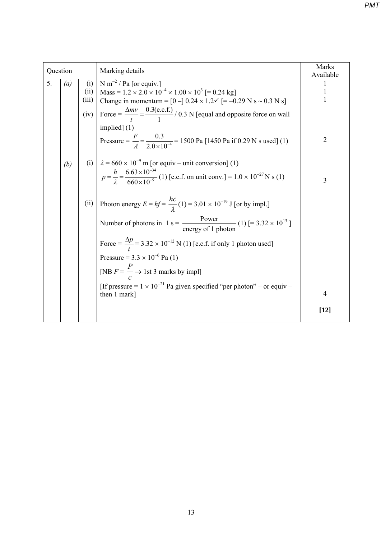| Question |     |                              | Marking details                                                                                                                                                                                                                                                                                                                                                                                                    | Marks<br>Available |
|----------|-----|------------------------------|--------------------------------------------------------------------------------------------------------------------------------------------------------------------------------------------------------------------------------------------------------------------------------------------------------------------------------------------------------------------------------------------------------------------|--------------------|
| 5.       | (a) | (i)<br>(ii)<br>(iii)<br>(iv) | N m <sup>-2</sup> / Pa [or equiv.]<br>Mass = $1.2 \times 2.0 \times 10^{-4} \times 1.00 \times 10^{3}$ [= 0.24 kg]<br>Change in momentum = $[0 - 0.24 \times 1.2 \times 1.2 \times 1.2]$ N s ~ 0.3 N s<br>Force = $\frac{\Delta mv}{t} = \frac{0.3(e.c.f.)}{1}$ / 0.3 N [equal and opposite force on wall<br>implied $(1)$                                                                                         | 1                  |
|          | (b) |                              | Pressure = $\frac{F}{A} = \frac{0.3}{2.0 \times 10^{-4}} = 1500 \text{ Pa}$ [1450 Pa if 0.29 N s used] (1)<br>(i) $\lambda = 660 \times 10^{-9}$ m [or equiv – unit conversion] (1)                                                                                                                                                                                                                                | $\overline{2}$     |
|          |     |                              | $p = \frac{h}{\lambda} = \frac{6.63 \times 10^{-34}}{660 \times 10^{-9}}$ (1) [e.c.f. on unit conv.] = 1.0 × 10 <sup>-27</sup> N s (1)                                                                                                                                                                                                                                                                             | $\overline{3}$     |
|          |     |                              | (ii) Photon energy $E = hf = \frac{hc}{\lambda}(1) = 3.01 \times 10^{-19}$ J [or by impl.]<br>Number of photons in $1 s = \frac{Power}{energy \text{ of } 1 \text{ photon}} (1)$ [= 3.32 × 10 <sup>13</sup> ]<br>Force = $\frac{\Delta p}{t}$ = 3.32 × 10 <sup>-12</sup> N (1) [e.c.f. if only 1 photon used]<br>Pressure = $3.3 \times 10^{-6}$ Pa (1)<br>[NB $F = \frac{P}{C} \rightarrow 1$ st 3 marks by impl] |                    |
|          |     |                              | [If pressure = $1 \times 10^{-21}$ Pa given specified "per photon" – or equiv –<br>then 1 mark]                                                                                                                                                                                                                                                                                                                    | $\overline{4}$     |
|          |     |                              |                                                                                                                                                                                                                                                                                                                                                                                                                    | $[12]$             |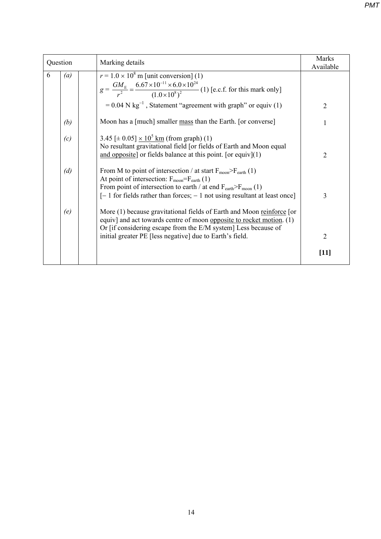| Question |                  | Marking details                                                                                                                                                                                                                                                                                                               | Marks<br>Available |
|----------|------------------|-------------------------------------------------------------------------------------------------------------------------------------------------------------------------------------------------------------------------------------------------------------------------------------------------------------------------------|--------------------|
| 6        | $\left(a\right)$ | $r = 1.0 \times 10^8$ m [unit conversion] (1)                                                                                                                                                                                                                                                                                 |                    |
|          |                  | $g = \frac{GM_{\rm E}}{r^2} = \frac{6.67 \times 10^{-11} \times 6.0 \times 10^{24}}{(1.0 \times 10^8)^2}$ (1) [e.c.f. for this mark only]                                                                                                                                                                                     |                    |
|          |                  | $= 0.04$ N kg <sup>-1</sup> , Statement "agreement with graph" or equiv (1)                                                                                                                                                                                                                                                   | 2                  |
|          | (b)              | Moon has a [much] smaller mass than the Earth. [or converse]                                                                                                                                                                                                                                                                  | $\mathbf{1}$       |
|          | (c)              | 3.45 [ $\pm$ 0.05] $\times$ 10 <sup>5</sup> km (from graph) (1)<br>No resultant gravitational field [or fields of Earth and Moon equal<br>and opposite] or fields balance at this point. [or equiv] $(1)$                                                                                                                     | $\overline{2}$     |
|          | (d)              | From M to point of intersection / at start $F_{\text{moon}} > F_{\text{earth}}(1)$<br>At point of intersection: $F_{\text{moon}}=F_{\text{earth}}(1)$<br>From point of intersection to earth / at end $F_{\text{earth}} > F_{\text{moon}}(1)$<br>$[-1$ for fields rather than forces; $-1$ not using resultant at least once] | $\overline{3}$     |
|          | (e)              | More (1) because gravitational fields of Earth and Moon reinforce [or<br>equiv] and act towards centre of moon opposite to rocket motion. (1)<br>Or [if considering escape from the E/M system] Less because of                                                                                                               |                    |
|          |                  | initial greater PE [less negative] due to Earth's field.                                                                                                                                                                                                                                                                      | $\overline{2}$     |
|          |                  |                                                                                                                                                                                                                                                                                                                               | $[11]$             |